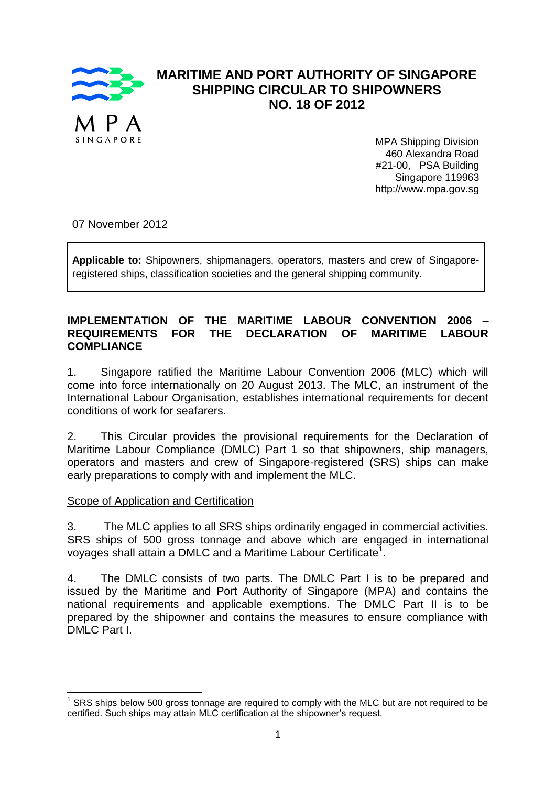

## **MARITIME AND PORT AUTHORITY OF SINGAPORE SHIPPING CIRCULAR TO SHIPOWNERS NO. 18 OF 2012**

MPA Shipping Division 460 Alexandra Road #21-00, PSA Building Singapore 119963 http://www.mpa.gov.sg

07 November 2012

**Applicable to:** Shipowners, shipmanagers, operators, masters and crew of Singaporeregistered ships, classification societies and the general shipping community.

### **IMPLEMENTATION OF THE MARITIME LABOUR CONVENTION 2006 – REQUIREMENTS FOR THE DECLARATION OF MARITIME LABOUR COMPLIANCE**

1. Singapore ratified the Maritime Labour Convention 2006 (MLC) which will come into force internationally on 20 August 2013. The MLC, an instrument of the International Labour Organisation, establishes international requirements for decent conditions of work for seafarers.

2. This Circular provides the provisional requirements for the Declaration of Maritime Labour Compliance (DMLC) Part 1 so that shipowners, ship managers, operators and masters and crew of Singapore-registered (SRS) ships can make early preparations to comply with and implement the MLC.

### Scope of Application and Certification

**.** 

3. The MLC applies to all SRS ships ordinarily engaged in commercial activities. SRS ships of 500 gross tonnage and above which are engaged in international voyages shall attain a DMLC and a Maritime Labour Certificate<sup>1</sup>.

4. The DMLC consists of two parts. The DMLC Part I is to be prepared and issued by the Maritime and Port Authority of Singapore (MPA) and contains the national requirements and applicable exemptions. The DMLC Part II is to be prepared by the shipowner and contains the measures to ensure compliance with DMLC Part I.

<sup>1</sup> SRS ships below 500 gross tonnage are required to comply with the MLC but are not required to be certified. Such ships may attain MLC certification at the shipowner's request.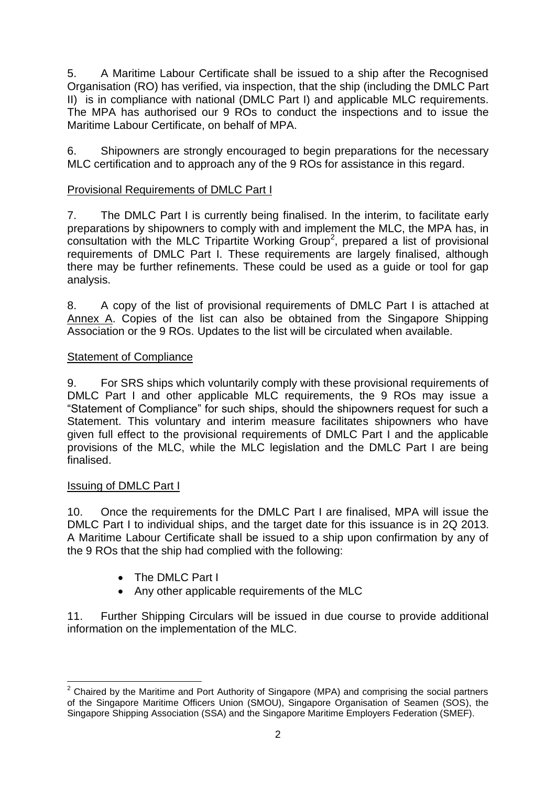5. A Maritime Labour Certificate shall be issued to a ship after the Recognised Organisation (RO) has verified, via inspection, that the ship (including the DMLC Part II) is in compliance with national (DMLC Part I) and applicable MLC requirements. The MPA has authorised our 9 ROs to conduct the inspections and to issue the Maritime Labour Certificate, on behalf of MPA.

6. Shipowners are strongly encouraged to begin preparations for the necessary MLC certification and to approach any of the 9 ROs for assistance in this regard.

## Provisional Requirements of DMLC Part I

7. The DMLC Part I is currently being finalised. In the interim, to facilitate early preparations by shipowners to comply with and implement the MLC, the MPA has, in consultation with the MLC Tripartite Working Group<sup>2</sup>, prepared a list of provisional requirements of DMLC Part I. These requirements are largely finalised, although there may be further refinements. These could be used as a guide or tool for gap analysis.

8. A copy of the list of provisional requirements of DMLC Part I is attached at Annex A. Copies of the list can also be obtained from the Singapore Shipping Association or the 9 ROs. Updates to the list will be circulated when available.

## Statement of Compliance

9. For SRS ships which voluntarily comply with these provisional requirements of DMLC Part I and other applicable MLC requirements, the 9 ROs may issue a "Statement of Compliance" for such ships, should the shipowners request for such a Statement. This voluntary and interim measure facilitates shipowners who have given full effect to the provisional requirements of DMLC Part I and the applicable provisions of the MLC, while the MLC legislation and the DMLC Part I are being finalised.

### Issuing of DMLC Part I

10. Once the requirements for the DMLC Part I are finalised, MPA will issue the DMLC Part I to individual ships, and the target date for this issuance is in 2Q 2013. A Maritime Labour Certificate shall be issued to a ship upon confirmation by any of the 9 ROs that the ship had complied with the following:

- The DMLC Part I
- Any other applicable requirements of the MLC

11. Further Shipping Circulars will be issued in due course to provide additional information on the implementation of the MLC.

 $\overline{\phantom{a}}$  $2$  Chaired by the Maritime and Port Authority of Singapore (MPA) and comprising the social partners of the Singapore Maritime Officers Union (SMOU), Singapore Organisation of Seamen (SOS), the Singapore Shipping Association (SSA) and the Singapore Maritime Employers Federation (SMEF).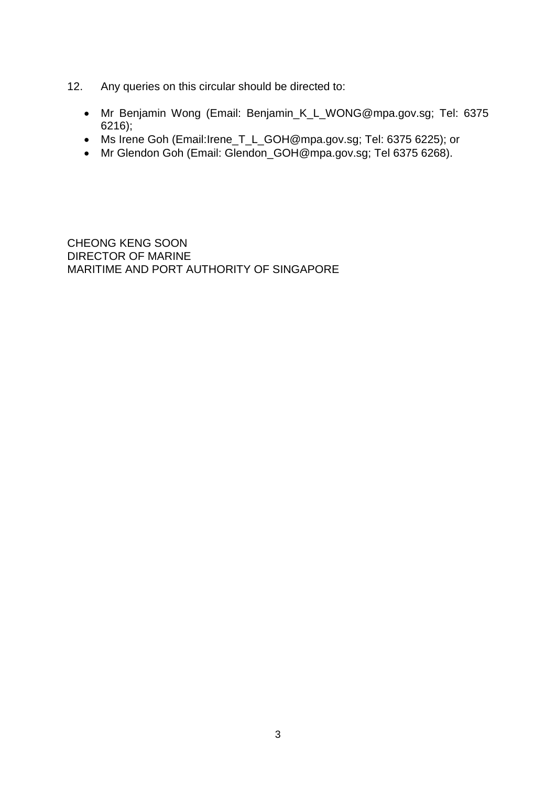- 12. Any queries on this circular should be directed to:
	- Mr Benjamin Wong (Email: Benjamin\_K\_L\_WONG@mpa.gov.sg; Tel: 6375 6216);
	- Ms Irene Goh (Email:Irene\_T\_L\_GOH@mpa.gov.sg; Tel: 6375 6225); or
	- Mr Glendon Goh (Email: Glendon\_GOH@mpa.gov.sg; Tel 6375 6268).

CHEONG KENG SOON DIRECTOR OF MARINE MARITIME AND PORT AUTHORITY OF SINGAPORE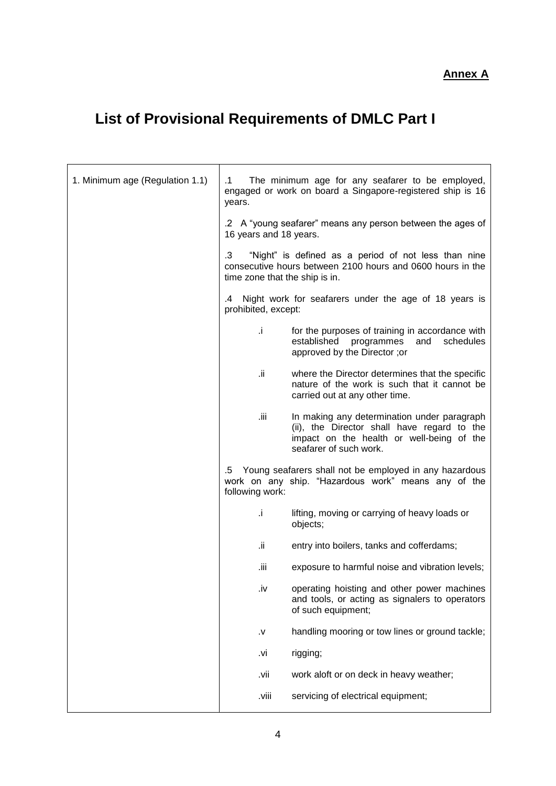**Annex A**

# **List of Provisional Requirements of DMLC Part I**

| 1. Minimum age (Regulation 1.1) | .1<br>years.                         | The minimum age for any seafarer to be employed,<br>engaged or work on board a Singapore-registered ship is 16                                                    |
|---------------------------------|--------------------------------------|-------------------------------------------------------------------------------------------------------------------------------------------------------------------|
|                                 | 16 years and 18 years.               | .2 A "young seafarer" means any person between the ages of                                                                                                        |
|                                 | .3<br>time zone that the ship is in. | "Night" is defined as a period of not less than nine<br>consecutive hours between 2100 hours and 0600 hours in the                                                |
|                                 | .4<br>prohibited, except:            | Night work for seafarers under the age of 18 years is                                                                                                             |
|                                 | Ĵ.                                   | for the purposes of training in accordance with<br>established<br>programmes<br>and<br>schedules<br>approved by the Director; or                                  |
|                                 | ii.                                  | where the Director determines that the specific<br>nature of the work is such that it cannot be<br>carried out at any other time.                                 |
|                                 | .iii                                 | In making any determination under paragraph<br>(ii), the Director shall have regard to the<br>impact on the health or well-being of the<br>seafarer of such work. |
|                                 | following work:                      | 5. Young seafarers shall not be employed in any hazardous<br>work on any ship. "Hazardous work" means any of the                                                  |
|                                 | i.                                   | lifting, moving or carrying of heavy loads or<br>objects;                                                                                                         |
|                                 | ii.                                  | entry into boilers, tanks and cofferdams;                                                                                                                         |
|                                 | iii.                                 | exposure to harmful noise and vibration levels;                                                                                                                   |
|                                 | .iv                                  | operating hoisting and other power machines<br>and tools, or acting as signalers to operators<br>of such equipment;                                               |
|                                 | ٧.                                   | handling mooring or tow lines or ground tackle;                                                                                                                   |
|                                 | .vi                                  | rigging;                                                                                                                                                          |
|                                 | .vii                                 | work aloft or on deck in heavy weather;                                                                                                                           |
|                                 | .viii                                | servicing of electrical equipment;                                                                                                                                |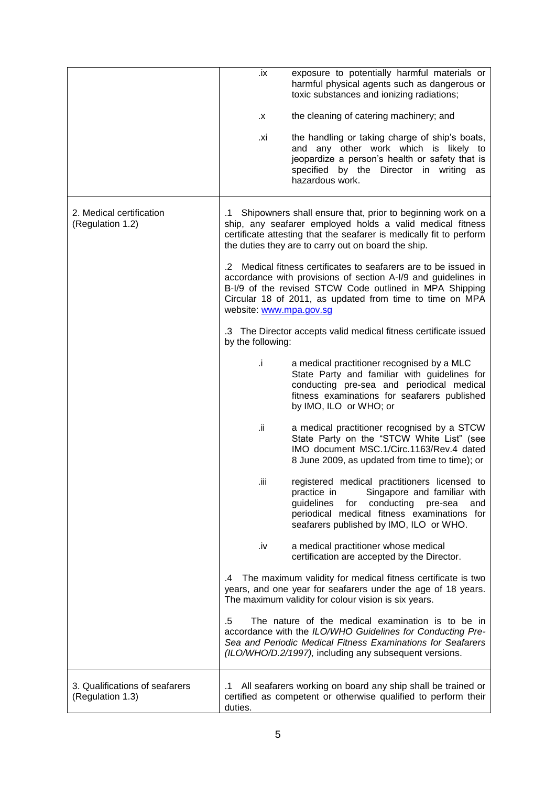|                                                    | .ix                           | exposure to potentially harmful materials or<br>harmful physical agents such as dangerous or<br>toxic substances and ionizing radiations;                                                                                                             |
|----------------------------------------------------|-------------------------------|-------------------------------------------------------------------------------------------------------------------------------------------------------------------------------------------------------------------------------------------------------|
|                                                    | Χ.                            | the cleaning of catering machinery; and                                                                                                                                                                                                               |
|                                                    | .xi                           | the handling or taking charge of ship's boats,<br>and any other work which is likely to<br>jeopardize a person's health or safety that is<br>specified by the Director in writing as<br>hazardous work.                                               |
| 2. Medical certification<br>(Regulation 1.2)       | .1                            | Shipowners shall ensure that, prior to beginning work on a<br>ship, any seafarer employed holds a valid medical fitness<br>certificate attesting that the seafarer is medically fit to perform<br>the duties they are to carry out on board the ship. |
|                                                    | .2<br>website: www.mpa.gov.sg | Medical fitness certificates to seafarers are to be issued in<br>accordance with provisions of section A-I/9 and guidelines in<br>B-I/9 of the revised STCW Code outlined in MPA Shipping<br>Circular 18 of 2011, as updated from time to time on MPA |
|                                                    | by the following:             | .3 The Director accepts valid medical fitness certificate issued                                                                                                                                                                                      |
|                                                    | Ĵ.                            | a medical practitioner recognised by a MLC<br>State Party and familiar with guidelines for<br>conducting pre-sea and periodical medical<br>fitness examinations for seafarers published<br>by IMO, ILO or WHO; or                                     |
|                                                    | ii.                           | a medical practitioner recognised by a STCW<br>State Party on the "STCW White List" (see<br>IMO document MSC.1/Circ.1163/Rev.4 dated<br>8 June 2009, as updated from time to time); or                                                                |
|                                                    | .iii.                         | registered medical practitioners licensed to<br>practice in<br>Singapore and familiar with<br>guidelines<br>for conducting<br>pre-sea<br>and<br>periodical medical fitness examinations for<br>seafarers published by IMO, ILO or WHO.                |
|                                                    | .iv                           | a medical practitioner whose medical<br>certification are accepted by the Director.                                                                                                                                                                   |
|                                                    | .4                            | The maximum validity for medical fitness certificate is two<br>years, and one year for seafarers under the age of 18 years.<br>The maximum validity for colour vision is six years.                                                                   |
|                                                    | .5                            | The nature of the medical examination is to be in<br>accordance with the ILO/WHO Guidelines for Conducting Pre-<br>Sea and Periodic Medical Fitness Examinations for Seafarers<br>(ILO/WHO/D.2/1997), including any subsequent versions.              |
| 3. Qualifications of seafarers<br>(Regulation 1.3) | .1<br>duties.                 | All seafarers working on board any ship shall be trained or<br>certified as competent or otherwise qualified to perform their                                                                                                                         |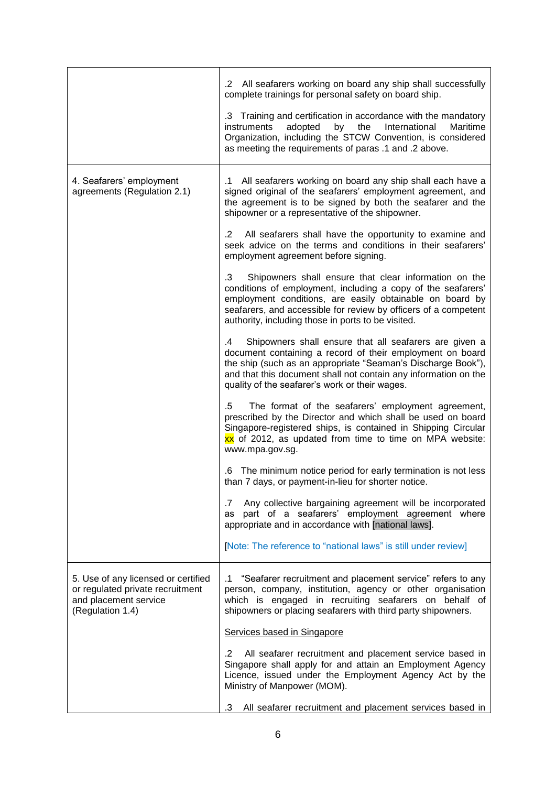|                                                                                                                      | All seafarers working on board any ship shall successfully<br>.2<br>complete trainings for personal safety on board ship.                                                                                                                                                                                        |
|----------------------------------------------------------------------------------------------------------------------|------------------------------------------------------------------------------------------------------------------------------------------------------------------------------------------------------------------------------------------------------------------------------------------------------------------|
|                                                                                                                      | .3 Training and certification in accordance with the mandatory<br>instruments<br>adopted<br>the<br>International<br>Maritime<br>by<br>Organization, including the STCW Convention, is considered<br>as meeting the requirements of paras .1 and .2 above.                                                        |
| 4. Seafarers' employment<br>agreements (Regulation 2.1)                                                              | All seafarers working on board any ship shall each have a<br>.1<br>signed original of the seafarers' employment agreement, and<br>the agreement is to be signed by both the seafarer and the<br>shipowner or a representative of the shipowner.                                                                  |
|                                                                                                                      | All seafarers shall have the opportunity to examine and<br>$\cdot$ 2<br>seek advice on the terms and conditions in their seafarers'<br>employment agreement before signing.                                                                                                                                      |
|                                                                                                                      | .3<br>Shipowners shall ensure that clear information on the<br>conditions of employment, including a copy of the seafarers'<br>employment conditions, are easily obtainable on board by<br>seafarers, and accessible for review by officers of a competent<br>authority, including those in ports to be visited. |
|                                                                                                                      | Shipowners shall ensure that all seafarers are given a<br>.4<br>document containing a record of their employment on board<br>the ship (such as an appropriate "Seaman's Discharge Book"),<br>and that this document shall not contain any information on the<br>quality of the seafarer's work or their wages.   |
|                                                                                                                      | The format of the seafarers' employment agreement,<br>.5<br>prescribed by the Director and which shall be used on board<br>Singapore-registered ships, is contained in Shipping Circular<br>xx of 2012, as updated from time to time on MPA website:<br>www.mpa.gov.sg.                                          |
|                                                                                                                      | The minimum notice period for early termination is not less<br>.6<br>than 7 days, or payment-in-lieu for shorter notice.                                                                                                                                                                                         |
|                                                                                                                      | Any collective bargaining agreement will be incorporated<br>.7<br>as part of a seafarers' employment agreement where<br>appropriate and in accordance with [national laws].                                                                                                                                      |
|                                                                                                                      | [Note: The reference to "national laws" is still under review]                                                                                                                                                                                                                                                   |
| 5. Use of any licensed or certified<br>or regulated private recruitment<br>and placement service<br>(Regulation 1.4) | "Seafarer recruitment and placement service" refers to any<br>$\cdot$ 1<br>person, company, institution, agency or other organisation<br>which is engaged in recruiting seafarers on behalf of<br>shipowners or placing seafarers with third party shipowners.                                                   |
|                                                                                                                      | Services based in Singapore                                                                                                                                                                                                                                                                                      |
|                                                                                                                      | .2<br>All seafarer recruitment and placement service based in<br>Singapore shall apply for and attain an Employment Agency<br>Licence, issued under the Employment Agency Act by the<br>Ministry of Manpower (MOM).                                                                                              |
|                                                                                                                      | .3<br>All seafarer recruitment and placement services based in                                                                                                                                                                                                                                                   |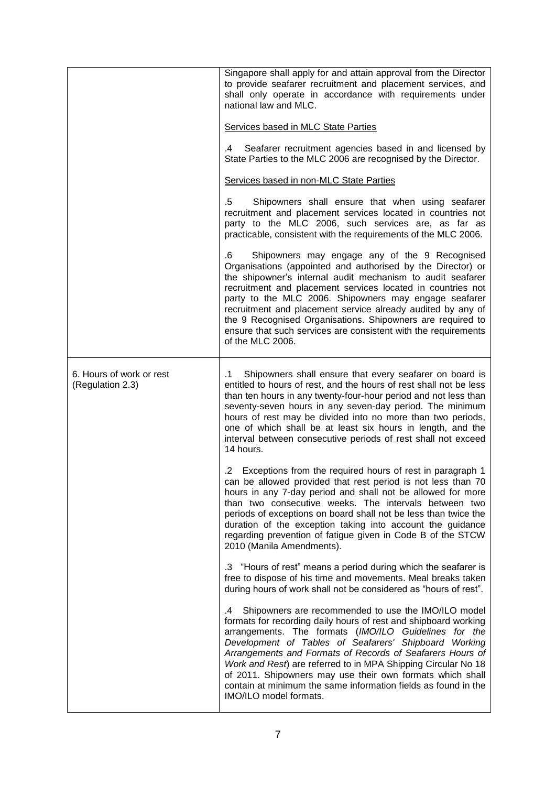|                                              | Singapore shall apply for and attain approval from the Director<br>to provide seafarer recruitment and placement services, and<br>shall only operate in accordance with requirements under<br>national law and MLC.<br>Services based in MLC State Parties<br>Seafarer recruitment agencies based in and licensed by<br>.4<br>State Parties to the MLC 2006 are recognised by the Director.<br>Services based in non-MLC State Parties<br>$.5\,$<br>Shipowners shall ensure that when using seafarer<br>recruitment and placement services located in countries not<br>party to the MLC 2006, such services are, as far as |
|----------------------------------------------|----------------------------------------------------------------------------------------------------------------------------------------------------------------------------------------------------------------------------------------------------------------------------------------------------------------------------------------------------------------------------------------------------------------------------------------------------------------------------------------------------------------------------------------------------------------------------------------------------------------------------|
|                                              | practicable, consistent with the requirements of the MLC 2006.<br>Shipowners may engage any of the 9 Recognised<br>.6<br>Organisations (appointed and authorised by the Director) or<br>the shipowner's internal audit mechanism to audit seafarer<br>recruitment and placement services located in countries not<br>party to the MLC 2006. Shipowners may engage seafarer<br>recruitment and placement service already audited by any of<br>the 9 Recognised Organisations. Shipowners are required to<br>ensure that such services are consistent with the requirements<br>of the MLC 2006.                              |
| 6. Hours of work or rest<br>(Regulation 2.3) | Shipowners shall ensure that every seafarer on board is<br>$\cdot$ 1<br>entitled to hours of rest, and the hours of rest shall not be less<br>than ten hours in any twenty-four-hour period and not less than<br>seventy-seven hours in any seven-day period. The minimum<br>hours of rest may be divided into no more than two periods,<br>one of which shall be at least six hours in length, and the<br>interval between consecutive periods of rest shall not exceed<br>14 hours.                                                                                                                                      |
|                                              | .2 Exceptions from the required hours of rest in paragraph 1<br>can be allowed provided that rest period is not less than 70<br>hours in any 7-day period and shall not be allowed for more<br>than two consecutive weeks. The intervals between two<br>periods of exceptions on board shall not be less than twice the<br>duration of the exception taking into account the guidance<br>regarding prevention of fatigue given in Code B of the STCW<br>2010 (Manila Amendments).                                                                                                                                          |
|                                              | .3 "Hours of rest" means a period during which the seafarer is<br>free to dispose of his time and movements. Meal breaks taken<br>during hours of work shall not be considered as "hours of rest".                                                                                                                                                                                                                                                                                                                                                                                                                         |
|                                              | Shipowners are recommended to use the IMO/ILO model<br>.4<br>formats for recording daily hours of rest and shipboard working<br>arrangements. The formats (IMO/ILO Guidelines for the<br>Development of Tables of Seafarers' Shipboard Working<br>Arrangements and Formats of Records of Seafarers Hours of<br>Work and Rest) are referred to in MPA Shipping Circular No 18<br>of 2011. Shipowners may use their own formats which shall<br>contain at minimum the same information fields as found in the<br>IMO/ILO model formats.                                                                                      |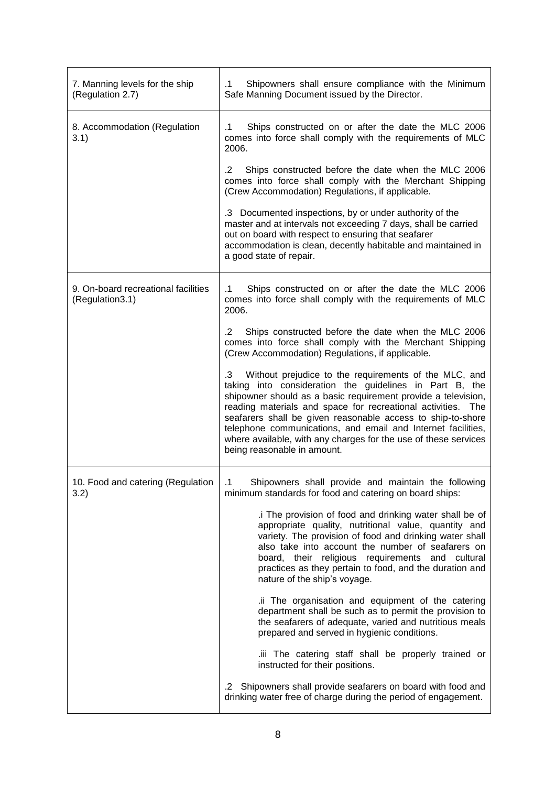| 7. Manning levels for the ship<br>(Regulation 2.7)     | Shipowners shall ensure compliance with the Minimum<br>$\cdot$ 1<br>Safe Manning Document issued by the Director.                                                                                                                                                                                                                                                                                                                                                                     |
|--------------------------------------------------------|---------------------------------------------------------------------------------------------------------------------------------------------------------------------------------------------------------------------------------------------------------------------------------------------------------------------------------------------------------------------------------------------------------------------------------------------------------------------------------------|
| 8. Accommodation (Regulation<br>3.1)                   | Ships constructed on or after the date the MLC 2006<br>$\cdot$ 1<br>comes into force shall comply with the requirements of MLC<br>2006.                                                                                                                                                                                                                                                                                                                                               |
|                                                        | $\cdot$ .2<br>Ships constructed before the date when the MLC 2006<br>comes into force shall comply with the Merchant Shipping<br>(Crew Accommodation) Regulations, if applicable.                                                                                                                                                                                                                                                                                                     |
|                                                        | .3 Documented inspections, by or under authority of the<br>master and at intervals not exceeding 7 days, shall be carried<br>out on board with respect to ensuring that seafarer<br>accommodation is clean, decently habitable and maintained in<br>a good state of repair.                                                                                                                                                                                                           |
| 9. On-board recreational facilities<br>(Regulation3.1) | Ships constructed on or after the date the MLC 2006<br>$\cdot$ 1<br>comes into force shall comply with the requirements of MLC<br>2006.                                                                                                                                                                                                                                                                                                                                               |
|                                                        | Ships constructed before the date when the MLC 2006<br>.2<br>comes into force shall comply with the Merchant Shipping<br>(Crew Accommodation) Regulations, if applicable.                                                                                                                                                                                                                                                                                                             |
|                                                        | .3 Without prejudice to the requirements of the MLC, and<br>taking into consideration the guidelines in Part B, the<br>shipowner should as a basic requirement provide a television,<br>reading materials and space for recreational activities. The<br>seafarers shall be given reasonable access to ship-to-shore<br>telephone communications, and email and Internet facilities,<br>where available, with any charges for the use of these services<br>being reasonable in amount. |
| 10. Food and catering (Regulation<br>3.2)              | Shipowners shall provide and maintain the following<br>.1<br>minimum standards for food and catering on board ships:                                                                                                                                                                                                                                                                                                                                                                  |
|                                                        | .i The provision of food and drinking water shall be of<br>appropriate quality, nutritional value, quantity and<br>variety. The provision of food and drinking water shall<br>also take into account the number of seafarers on<br>board, their religious requirements and cultural<br>practices as they pertain to food, and the duration and<br>nature of the ship's voyage.                                                                                                        |
|                                                        | .ii The organisation and equipment of the catering<br>department shall be such as to permit the provision to<br>the seafarers of adequate, varied and nutritious meals<br>prepared and served in hygienic conditions.                                                                                                                                                                                                                                                                 |
|                                                        | .iii The catering staff shall be properly trained or<br>instructed for their positions.                                                                                                                                                                                                                                                                                                                                                                                               |
|                                                        | Shipowners shall provide seafarers on board with food and<br>$.2\overline{ }$<br>drinking water free of charge during the period of engagement.                                                                                                                                                                                                                                                                                                                                       |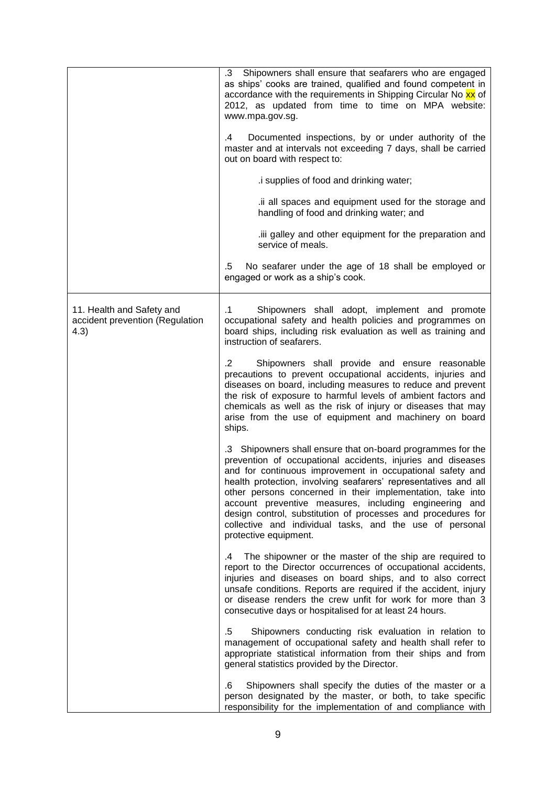|                                                                       | .3<br>Shipowners shall ensure that seafarers who are engaged<br>as ships' cooks are trained, qualified and found competent in<br>accordance with the requirements in Shipping Circular No xx of<br>2012, as updated from time to time on MPA website:<br>www.mpa.gov.sg.                                                                                                                                                                                                                                                                |
|-----------------------------------------------------------------------|-----------------------------------------------------------------------------------------------------------------------------------------------------------------------------------------------------------------------------------------------------------------------------------------------------------------------------------------------------------------------------------------------------------------------------------------------------------------------------------------------------------------------------------------|
|                                                                       | Documented inspections, by or under authority of the<br>.4<br>master and at intervals not exceeding 7 days, shall be carried<br>out on board with respect to:                                                                                                                                                                                                                                                                                                                                                                           |
|                                                                       | .i supplies of food and drinking water;                                                                                                                                                                                                                                                                                                                                                                                                                                                                                                 |
|                                                                       | .ii all spaces and equipment used for the storage and<br>handling of food and drinking water; and                                                                                                                                                                                                                                                                                                                                                                                                                                       |
|                                                                       | iii galley and other equipment for the preparation and<br>service of meals.                                                                                                                                                                                                                                                                                                                                                                                                                                                             |
|                                                                       | .5<br>No seafarer under the age of 18 shall be employed or<br>engaged or work as a ship's cook.                                                                                                                                                                                                                                                                                                                                                                                                                                         |
| 11. Health and Safety and<br>accident prevention (Regulation<br>(4.3) | Shipowners shall adopt, implement and promote<br>$\cdot$ 1<br>occupational safety and health policies and programmes on<br>board ships, including risk evaluation as well as training and<br>instruction of seafarers.                                                                                                                                                                                                                                                                                                                  |
|                                                                       | Shipowners shall provide and ensure reasonable<br>.2<br>precautions to prevent occupational accidents, injuries and<br>diseases on board, including measures to reduce and prevent<br>the risk of exposure to harmful levels of ambient factors and<br>chemicals as well as the risk of injury or diseases that may<br>arise from the use of equipment and machinery on board<br>ships.                                                                                                                                                 |
|                                                                       | .3 Shipowners shall ensure that on-board programmes for the<br>prevention of occupational accidents, injuries and diseases<br>and for continuous improvement in occupational safety and<br>health protection, involving seafarers' representatives and all<br>other persons concerned in their implementation, take into<br>account preventive measures, including engineering and<br>design control, substitution of processes and procedures for<br>collective and individual tasks, and the use of personal<br>protective equipment. |
|                                                                       | The shipowner or the master of the ship are required to<br>$-4$<br>report to the Director occurrences of occupational accidents,<br>injuries and diseases on board ships, and to also correct<br>unsafe conditions. Reports are required if the accident, injury<br>or disease renders the crew unfit for work for more than 3<br>consecutive days or hospitalised for at least 24 hours.                                                                                                                                               |
|                                                                       | $.5\,$<br>Shipowners conducting risk evaluation in relation to<br>management of occupational safety and health shall refer to<br>appropriate statistical information from their ships and from<br>general statistics provided by the Director.                                                                                                                                                                                                                                                                                          |
|                                                                       | Shipowners shall specify the duties of the master or a<br>.6<br>person designated by the master, or both, to take specific<br>responsibility for the implementation of and compliance with                                                                                                                                                                                                                                                                                                                                              |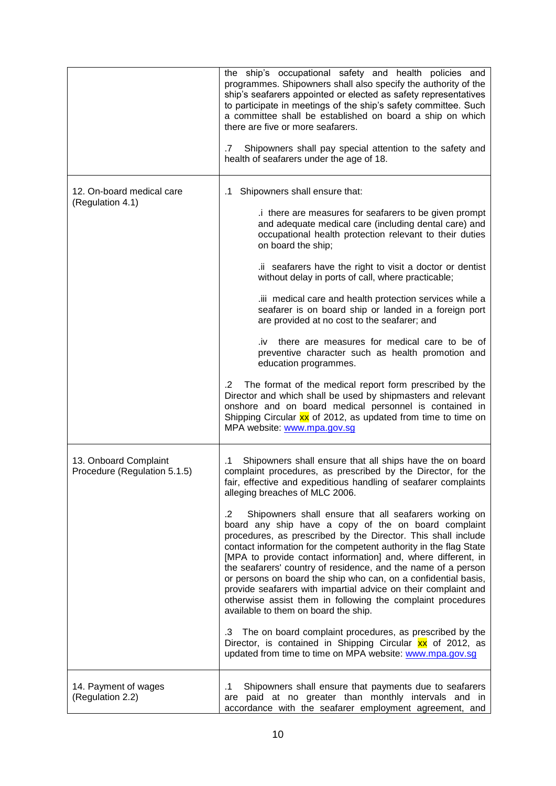|                                                       | the ship's occupational safety and health policies and<br>programmes. Shipowners shall also specify the authority of the<br>ship's seafarers appointed or elected as safety representatives<br>to participate in meetings of the ship's safety committee. Such<br>a committee shall be established on board a ship on which<br>there are five or more seafarers.<br>Shipowners shall pay special attention to the safety and<br>.7<br>health of seafarers under the age of 18.                                                                                                                                                                                                                                                                                                                                                                                                                                                                                                                                                                                           |
|-------------------------------------------------------|--------------------------------------------------------------------------------------------------------------------------------------------------------------------------------------------------------------------------------------------------------------------------------------------------------------------------------------------------------------------------------------------------------------------------------------------------------------------------------------------------------------------------------------------------------------------------------------------------------------------------------------------------------------------------------------------------------------------------------------------------------------------------------------------------------------------------------------------------------------------------------------------------------------------------------------------------------------------------------------------------------------------------------------------------------------------------|
| 12. On-board medical care<br>(Regulation 4.1)         | Shipowners shall ensure that:<br>$\cdot$ 1<br>.i there are measures for seafarers to be given prompt<br>and adequate medical care (including dental care) and<br>occupational health protection relevant to their duties<br>on board the ship;<br>.ii seafarers have the right to visit a doctor or dentist                                                                                                                                                                                                                                                                                                                                                                                                                                                                                                                                                                                                                                                                                                                                                              |
|                                                       | without delay in ports of call, where practicable;<br>iii medical care and health protection services while a<br>seafarer is on board ship or landed in a foreign port<br>are provided at no cost to the seafarer; and<br>there are measures for medical care to be of<br>.iv<br>preventive character such as health promotion and<br>education programmes.<br>The format of the medical report form prescribed by the<br>$\cdot$ 2                                                                                                                                                                                                                                                                                                                                                                                                                                                                                                                                                                                                                                      |
|                                                       | Director and which shall be used by shipmasters and relevant<br>onshore and on board medical personnel is contained in<br>Shipping Circular xx of 2012, as updated from time to time on<br>MPA website: www.mpa.gov.sg                                                                                                                                                                                                                                                                                                                                                                                                                                                                                                                                                                                                                                                                                                                                                                                                                                                   |
| 13. Onboard Complaint<br>Procedure (Regulation 5.1.5) | Shipowners shall ensure that all ships have the on board<br>.1<br>complaint procedures, as prescribed by the Director, for the<br>fair, effective and expeditious handling of seafarer complaints<br>alleging breaches of MLC 2006.<br>Shipowners shall ensure that all seafarers working on<br>.2<br>board any ship have a copy of the on board complaint<br>procedures, as prescribed by the Director. This shall include<br>contact information for the competent authority in the flag State<br>[MPA to provide contact information] and, where different, in<br>the seafarers' country of residence, and the name of a person<br>or persons on board the ship who can, on a confidential basis,<br>provide seafarers with impartial advice on their complaint and<br>otherwise assist them in following the complaint procedures<br>available to them on board the ship.<br>The on board complaint procedures, as prescribed by the<br>.3<br>Director, is contained in Shipping Circular xx of 2012, as<br>updated from time to time on MPA website: www.mpa.gov.sg |
| 14. Payment of wages<br>(Regulation 2.2)              | Shipowners shall ensure that payments due to seafarers<br>.1<br>are paid at no greater than monthly intervals and in<br>accordance with the seafarer employment agreement, and                                                                                                                                                                                                                                                                                                                                                                                                                                                                                                                                                                                                                                                                                                                                                                                                                                                                                           |